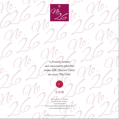

"a friendly welcome and consistently good food makes The Russell Hotel the ideal 19th Hole"



 $\circled{f}$   $\circled{f}$ 

26 The Scores St. Andrews Fife KY16 9AS Scotland Tel: 01334 473447 Email: enquiries@russellhotelstandrews.co.uk www.russellhotelstandrews.co.uk